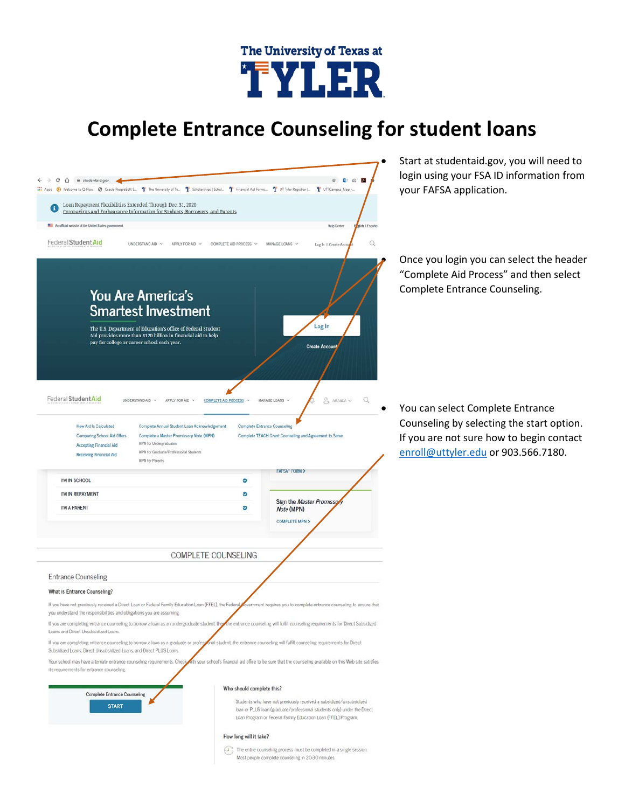

## **Complete Entrance Counseling for student loans**



 $\widehat{(\mathcal{F}^*_{\mathcal{G}})}$  The entire counseling process must be completed in a single session. Most people complete counseling in 20-30 minutes.